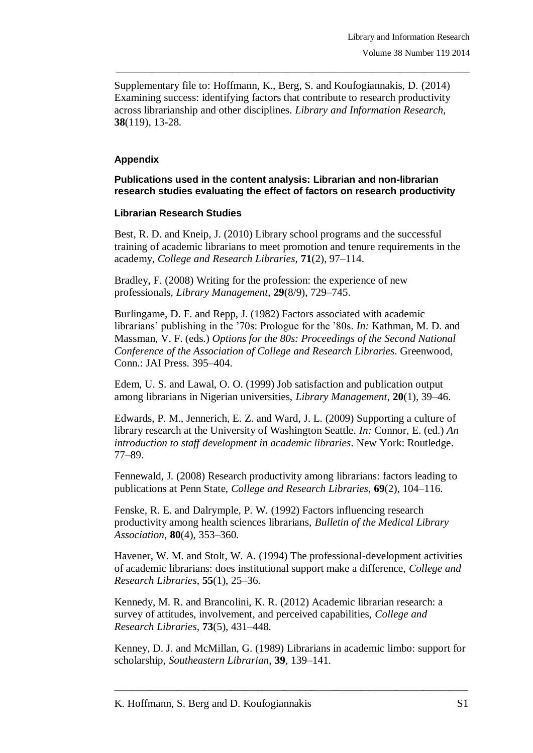Supplementary file to: Hoffmann, K., Berg, S. and Koufogiannakis, D. (2014) Examining success: identifying factors that contribute to research productivity across librarianship and other disciplines. *Library and Information Research*, **38**(119), 13-28.

\_\_\_\_\_\_\_\_\_\_\_\_\_\_\_\_\_\_\_\_\_\_\_\_\_\_\_\_\_\_\_\_\_\_\_\_\_\_\_\_\_\_\_\_\_\_\_\_\_\_\_\_\_\_\_\_\_\_\_\_\_\_\_\_\_\_\_\_\_\_\_\_\_\_\_\_\_\_\_

## **Appendix**

**Publications used in the content analysis: Librarian and non-librarian research studies evaluating the effect of factors on research productivity**

## **Librarian Research Studies**

Best, R. D. and Kneip, J. (2010) Library school programs and the successful training of academic librarians to meet promotion and tenure requirements in the academy, *College and Research Libraries*, **71**(2), 97–114.

Bradley, F. (2008) Writing for the profession: the experience of new professionals, *Library Management*, **29**(8/9), 729–745.

Burlingame, D. F. and Repp, J. (1982) Factors associated with academic librarians' publishing in the '70s: Prologue for the '80s. *In:* Kathman, M. D. and Massman, V. F. (eds.) *Options for the 80s: Proceedings of the Second National Conference of the Association of College and Research Libraries*. Greenwood, Conn.: JAI Press. 395–404.

Edem, U. S. and Lawal, O. O. (1999) Job satisfaction and publication output among librarians in Nigerian universities, *Library Management*, **20**(1), 39–46.

Edwards, P. M., Jennerich, E. Z. and Ward, J. L. (2009) Supporting a culture of library research at the University of Washington Seattle. *In:* Connor, E. (ed.) *An introduction to staff development in academic libraries*. New York: Routledge. 77–89.

Fennewald, J. (2008) Research productivity among librarians: factors leading to publications at Penn State, *College and Research Libraries*, **69**(2), 104–116.

Fenske, R. E. and Dalrymple, P. W. (1992) Factors influencing research productivity among health sciences librarians, *Bulletin of the Medical Library Association*, **80**(4), 353–360.

Havener, W. M. and Stolt, W. A. (1994) The professional-development activities of academic librarians: does institutional support make a difference, *College and Research Libraries*, **55**(1), 25–36.

Kennedy, M. R. and Brancolini, K. R. (2012) Academic librarian research: a survey of attitudes, involvement, and perceived capabilities, *College and Research Libraries*, **73**(5), 431–448.

Kenney, D. J. and McMillan, G. (1989) Librarians in academic limbo: support for scholarship, *Southeastern Librarian*, **39**, 139–141.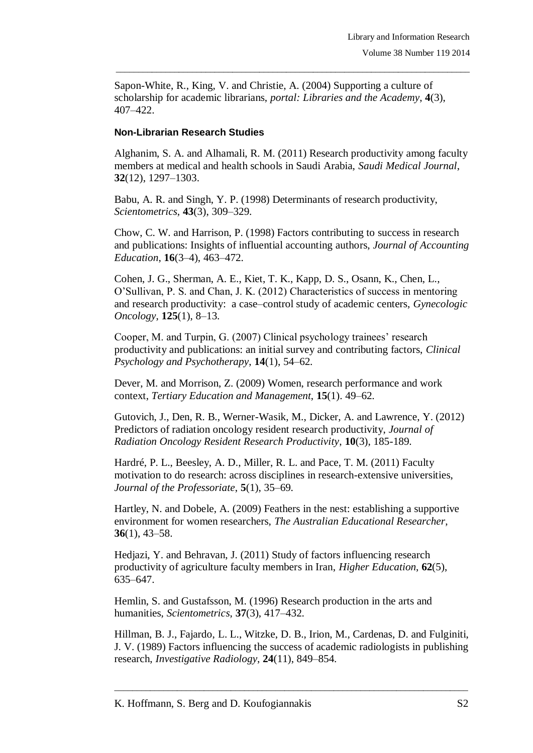Sapon-White, R., King, V. and Christie, A. (2004) Supporting a culture of scholarship for academic librarians, *portal: Libraries and the Academy*, **4**(3), 407–422.

\_\_\_\_\_\_\_\_\_\_\_\_\_\_\_\_\_\_\_\_\_\_\_\_\_\_\_\_\_\_\_\_\_\_\_\_\_\_\_\_\_\_\_\_\_\_\_\_\_\_\_\_\_\_\_\_\_\_\_\_\_\_\_\_\_\_\_\_\_\_\_\_\_\_\_\_\_\_\_

## **Non-Librarian Research Studies**

Alghanim, S. A. and Alhamali, R. M. (2011) Research productivity among faculty members at medical and health schools in Saudi Arabia, *Saudi Medical Journal*, **32**(12), 1297–1303.

Babu, A. R. and Singh, Y. P. (1998) Determinants of research productivity, *Scientometrics*, **43**(3), 309–329.

Chow, C. W. and Harrison, P. (1998) Factors contributing to success in research and publications: Insights of influential accounting authors, *Journal of Accounting Education*, **16**(3–4), 463–472.

Cohen, J. G., Sherman, A. E., Kiet, T. K., Kapp, D. S., Osann, K., Chen, L., O'Sullivan, P. S. and Chan, J. K. (2012) Characteristics of success in mentoring and research productivity: a case–control study of academic centers, *Gynecologic Oncology*, **125**(1), 8–13.

Cooper, M. and Turpin, G. (2007) Clinical psychology trainees' research productivity and publications: an initial survey and contributing factors, *Clinical Psychology and Psychotherapy*, **14**(1), 54–62.

Dever, M. and Morrison, Z. (2009) Women, research performance and work context, *Tertiary Education and Management*, **15**(1). 49–62.

Gutovich, J., Den, R. B., Werner-Wasik, M., Dicker, A. and Lawrence, Y. (2012) Predictors of radiation oncology resident research productivity, *Journal of Radiation Oncology Resident Research Productivity*, **10**(3), 185-189.

Hardré, P. L., Beesley, A. D., Miller, R. L. and Pace, T. M. (2011) Faculty motivation to do research: across disciplines in research-extensive universities, *Journal of the Professoriate*, **5**(1), 35–69.

Hartley, N. and Dobele, A. (2009) Feathers in the nest: establishing a supportive environment for women researchers, *The Australian Educational Researcher*, **36**(1), 43–58.

Hedjazi, Y. and Behravan, J. (2011) Study of factors influencing research productivity of agriculture faculty members in Iran, *Higher Education*, **62**(5), 635–647.

Hemlin, S. and Gustafsson, M. (1996) Research production in the arts and humanities, *Scientometrics*, **37**(3), 417–432.

Hillman, B. J., Fajardo, L. L., Witzke, D. B., Irion, M., Cardenas, D. and Fulginiti, J. V. (1989) Factors influencing the success of academic radiologists in publishing research, *Investigative Radiology*, **24**(11), 849–854.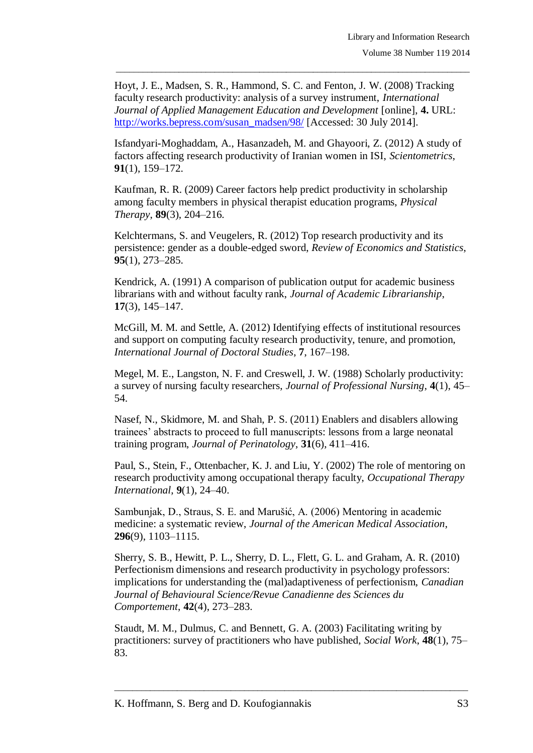Hoyt, J. E., Madsen, S. R., Hammond, S. C. and Fenton, J. W. (2008) Tracking faculty research productivity: analysis of a survey instrument, *International Journal of Applied Management Education and Development* [online], **4.** URL: [http://works.bepress.com/susan\\_madsen/98/](http://works.bepress.com/susan_madsen/98/) [Accessed: 30 July 2014].

\_\_\_\_\_\_\_\_\_\_\_\_\_\_\_\_\_\_\_\_\_\_\_\_\_\_\_\_\_\_\_\_\_\_\_\_\_\_\_\_\_\_\_\_\_\_\_\_\_\_\_\_\_\_\_\_\_\_\_\_\_\_\_\_\_\_\_\_\_\_\_\_\_\_\_\_\_\_\_

Isfandyari-Moghaddam, A., Hasanzadeh, M. and Ghayoori, Z. (2012) A study of factors affecting research productivity of Iranian women in ISI, *Scientometrics*, **91**(1), 159–172.

Kaufman, R. R. (2009) Career factors help predict productivity in scholarship among faculty members in physical therapist education programs, *Physical Therapy*, **89**(3), 204–216.

Kelchtermans, S. and Veugelers, R. (2012) Top research productivity and its persistence: gender as a double-edged sword, *Review of Economics and Statistics*, **95**(1), 273–285.

Kendrick, A. (1991) A comparison of publication output for academic business librarians with and without faculty rank, *Journal of Academic Librarianship*, **17**(3), 145–147.

McGill, M. M. and Settle, A. (2012) Identifying effects of institutional resources and support on computing faculty research productivity, tenure, and promotion, *International Journal of Doctoral Studies*, **7**, 167–198.

Megel, M. E., Langston, N. F. and Creswell, J. W. (1988) Scholarly productivity: a survey of nursing faculty researchers, *Journal of Professional Nursing*, **4**(1), 45– 54.

Nasef, N., Skidmore, M. and Shah, P. S. (2011) Enablers and disablers allowing trainees' abstracts to proceed to full manuscripts: lessons from a large neonatal training program, *Journal of Perinatology*, **31**(6), 411–416.

Paul, S., Stein, F., Ottenbacher, K. J. and Liu, Y. (2002) The role of mentoring on research productivity among occupational therapy faculty, *Occupational Therapy International*, **9**(1), 24–40.

Sambunjak, D., Straus, S. E. and Marušić, A. (2006) Mentoring in academic medicine: a systematic review, *Journal of the American Medical Association*, **296**(9), 1103–1115.

Sherry, S. B., Hewitt, P. L., Sherry, D. L., Flett, G. L. and Graham, A. R. (2010) Perfectionism dimensions and research productivity in psychology professors: implications for understanding the (mal)adaptiveness of perfectionism, *Canadian Journal of Behavioural Science/Revue Canadienne des Sciences du Comportement*, **42**(4), 273–283.

Staudt, M. M., Dulmus, C. and Bennett, G. A. (2003) Facilitating writing by practitioners: survey of practitioners who have published, *Social Work*, **48**(1), 75– 83.